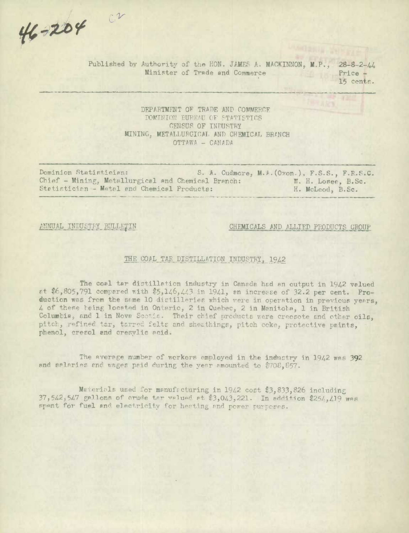46-204 Cr

Published by Authority of the HON. JAMES A. MACKINNON, M.P., 28-8-2-44 Minister of Trade and Commerce Price -

15 centE.

### DEPARTMENT OF TRADE AND COMMERCE DOMINION BURYAU OF STATISTICS CENSUS OF INDUSTRY MINING. METALLURGICAL AND CHEMICAL BRANCH  $OTTAWA - CANADA$

Dominion Statistician: S. A. Cudmore, M.A. (Ovon.), F.S.S., F.R.S.C. Chief - Mining, Metallurgical and Chemical Branch: W. H. Losee, B.Sc. Støtistician - Metal and Chemical Products: H. McLeod, B.Sc.

#### ANNUAL INDUSTRY BULLETIN CHEMICALS AND ALLIED PRODUCTS GROUP

#### THE COAL TAR DISTILLATION INDUSTRY, 1942

The coal tar distillation industry in Canada had an output in 1942 valued 't t6,805,791 compared with \$5,14.6 *<sup>1</sup> 44<sup>1</sup> <sup>3</sup>*in 1941, en increse of 32.2 per cent. Production was from the same 10 distilleries which were in operation in previous years, 4 of these teing located in Ontario, 2 in Quebec, 2 in Manitoba, 1 in British Columbia, and 1 in Nova Scotia. Their chief products were creosote and other oils, pitch, refined tar, tarred felts and sheathings, pitch coke, protective paints, phenol, cresol and cresylic acid.

The average number of workers employed in the industry in 1942 was 392 and salaries and wages paid during the year amounted to  $$702.857$ .

Materials used for manufacturing in 1942 cost \$3,833,826 including 37,542,547 gallons of crude tar valued at \$3,043,221. In addition \$254,419 *WAS* spant for fuel and electricity for heating and power purposes.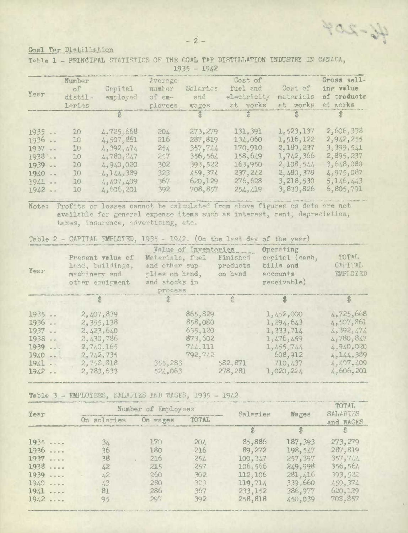46-204

### Coal Tar Distillation

|  |  |  |               | Table 1 - PRINCIPAL STATISTICS OF THE COAL TAR DISTILLATION INDUSTRY IN CANADA, |  |  |
|--|--|--|---------------|---------------------------------------------------------------------------------|--|--|
|  |  |  | $1935 - 19/2$ |                                                                                 |  |  |

| Year                                                         | Number<br>of<br>distil-<br>leries                         | المستحقق والمستورة<br>Capital<br>employed                                                                | Average<br>number<br>of em-<br>ployees               | <b>The Contract of Second</b><br>Salaries<br>and<br>wages                             | Cost of<br>fuel and<br>electricity<br>at works                                                                              | <b>The Comment of Street</b><br>Cost of<br>materials<br>at works                                     | Gross sell-<br>ing value<br>of products<br>at works                                                  |
|--------------------------------------------------------------|-----------------------------------------------------------|----------------------------------------------------------------------------------------------------------|------------------------------------------------------|---------------------------------------------------------------------------------------|-----------------------------------------------------------------------------------------------------------------------------|------------------------------------------------------------------------------------------------------|------------------------------------------------------------------------------------------------------|
|                                                              |                                                           |                                                                                                          |                                                      |                                                                                       | $\begin{array}{ccc}\n\mathfrak{F} & \mathfrak{F} & \mathfrak{F} \\ \mathfrak{F} & \mathfrak{F} & \mathfrak{F}\n\end{array}$ |                                                                                                      |                                                                                                      |
| 1935<br>1936<br>1937<br>1938<br>1939<br>1940<br>1941<br>1942 | 10 <sup>°</sup><br>10<br>10<br>10<br>10<br>10<br>10<br>10 | 4,725,668<br>4,507,861<br>4, 392, 474<br>4,780,847<br>4,940,020<br>4, 144, 389<br>4,407,409<br>4,606,201 | 204<br>216<br>254<br>257<br>302<br>323<br>367<br>392 | 273,279<br>287,819<br>357.744<br>356,564<br>393,522<br>459.374<br>620, 129<br>708,857 | 131, 391<br>134,060<br>170,910<br>158,649<br>163,950<br>237, 242<br>276,628<br>254,419                                      | 1,523,137<br>1,516,122<br>2,189,237<br>1,742,366<br>2,108,544<br>2,480,378<br>3,218,530<br>3,833,826 | 2,606,338<br>2,942,255<br>3.399.541<br>2,895,237<br>3,648,080<br>4,975,087<br>5,146,443<br>6,805,791 |

Note: Profits or losses cannot be calculated from above figures as data are not available for general expense items such as interest, rent, depreciation, taxes, insurance, advertising, etc.

Table 2 - CAPITAL EMPLOYED, 1935 - 1942. (On the last day of the year)

| Year                                                               | Present value of<br>land, buildings,<br>machinery and<br>other equipment                               | Value of Inventories<br>Materials, fuel<br>and other sup-<br>plies on hand,<br>and stocks in<br>process | Finished<br>products<br>on hand | Operating<br>capital (cash,<br>bills and<br>accounts<br>receivable)                              | TOTAL.<br>CAPITAL<br>EMPLOYED                                                                            |
|--------------------------------------------------------------------|--------------------------------------------------------------------------------------------------------|---------------------------------------------------------------------------------------------------------|---------------------------------|--------------------------------------------------------------------------------------------------|----------------------------------------------------------------------------------------------------------|
|                                                                    |                                                                                                        |                                                                                                         |                                 |                                                                                                  |                                                                                                          |
| 1935<br>1936<br>1937<br>1938<br>1939<br>$1940 - 1$<br>1941<br>1942 | 2,407,839<br>2, 355, 138<br>2.423.640<br>2,430,786<br>2.740.165<br>2,742,735<br>2,758,818<br>2,783,633 | 865,829<br>858,080<br>635,120<br>873,602<br>744.111<br>792.742<br>355, 283<br>524.063                   | 582.871<br>278.281              | 1,452,000<br>1,294,643<br>1,333,714<br>1,476,459<br>1,455,744<br>608,912<br>710,437<br>1,020,224 | 4,725,668<br>4,507,861<br>4, 392, 474<br>4.5780, 817<br>4.940.020<br>4,144,389<br>4,407,409<br>4,606,201 |

Table 3 - EMPLOYEES, SALARIES AND WAGES, 1935 - 1942

|      |               | Number of Employees | Salaries |          | TOTAL<br>SALARIES |           |  |
|------|---------------|---------------------|----------|----------|-------------------|-----------|--|
| Year | On salaries   | On wages            | TOTAL    |          | Wages             | and WAGES |  |
|      |               |                     |          |          |                   |           |  |
| 1935 | 34.           | 170                 | 204      | 85,886   | 187,393           | 273, 279  |  |
| 1936 | 36            | 180                 | 216      | 89,272   | 198,547           | 287,819   |  |
| 1937 | 38            | 216                 | 254      | 100, 347 | 257, 397          | 357,744   |  |
| 1938 | 42            | 215                 | 257      | 106,566  | 249.998           | 356, 561  |  |
| 1939 | $\frac{1}{2}$ | 260                 | 302      | 112,106  | 281, 416          | 393,522   |  |
| 1940 | 43            | 2.80                | 323      | 119,714  | 339,660           | 459,374   |  |
| 19.1 | 81            | 286                 | 367      | 233,152  | 386.977           | 620, 129  |  |
| 1942 | 95            | 297                 | 392      | 258,818  | 450,039           | 708.857   |  |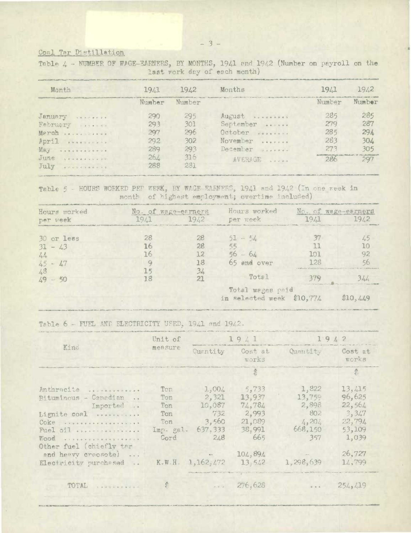# Coal Tar Distillation

| last work day of each month)<br>Challenge and the control of the control of the control of the control of the control of the control of                                                                                                                                                                                                                                                                                                                                                       |            |                  |                                                                                                                                                                                                                                |        |        |  |  |  |
|-----------------------------------------------------------------------------------------------------------------------------------------------------------------------------------------------------------------------------------------------------------------------------------------------------------------------------------------------------------------------------------------------------------------------------------------------------------------------------------------------|------------|------------------|--------------------------------------------------------------------------------------------------------------------------------------------------------------------------------------------------------------------------------|--------|--------|--|--|--|
| Month                                                                                                                                                                                                                                                                                                                                                                                                                                                                                         | 1941       | 19 <sub>L2</sub> | Months                                                                                                                                                                                                                         | 19L1   | 1942   |  |  |  |
|                                                                                                                                                                                                                                                                                                                                                                                                                                                                                               | Number.    | Number           | Manufacturer Law Manufacturer and PD Miller Party Co., the control of the control of the Miller and Constitution of the Miller and Constitutions and Constitutions of the Constitution of the Constitution of the Constitution | Mumber | Number |  |  |  |
| January <i>Andrease</i>                                                                                                                                                                                                                                                                                                                                                                                                                                                                       | 290        | 295              | AUFUST OVERFERED                                                                                                                                                                                                               | 285    | 285    |  |  |  |
| February                                                                                                                                                                                                                                                                                                                                                                                                                                                                                      | 293        | 301              | September                                                                                                                                                                                                                      | 279    | 287    |  |  |  |
| Merch                                                                                                                                                                                                                                                                                                                                                                                                                                                                                         | 297        | 296              | October<br>0.0000000000                                                                                                                                                                                                        | 285    | 294    |  |  |  |
| April                                                                                                                                                                                                                                                                                                                                                                                                                                                                                         | 292        | 302.             | November                                                                                                                                                                                                                       | 283    | 304    |  |  |  |
| $\begin{array}{cccccccccccccc} \multicolumn{2}{c}{} & \multicolumn{2}{c}{} & \multicolumn{2}{c}{} & \multicolumn{2}{c}{} & \multicolumn{2}{c}{} & \multicolumn{2}{c}{} & \multicolumn{2}{c}{} & \multicolumn{2}{c}{} & \multicolumn{2}{c}{} & \multicolumn{2}{c}{} & \multicolumn{2}{c}{} & \multicolumn{2}{c}{} & \multicolumn{2}{c}{} & \multicolumn{2}{c}{} & \multicolumn{2}{c}{} & \multicolumn{2}{c}{} & \multicolumn{2}{c}{} & \multicolumn{2}{c}{} & \multicolumn{2}{c}{} & \$<br>May | 289        | 293              | December                                                                                                                                                                                                                       | 273    | 305    |  |  |  |
| June<br>0.9.9.9.8.9.9.0.0.1<br>July<br>onvecesars                                                                                                                                                                                                                                                                                                                                                                                                                                             | 264<br>288 | 31.6<br>231      | AVERAGE                                                                                                                                                                                                                        | 286    | 297    |  |  |  |

Table 4 - NUMBER OF WAGE-EARNERS, BY MONTHS, 1941 and 1942 (Number on payroll on the

Table 5 - HOURS WORKED PEP WERK, BY WAGE-EARNERS, 1941 and 1942 (In one week in month of highest employment; overtime included)

| Hours worked    | No. of wage-earners |      | Hours worked                                  |                                                | No. of wage-earners |
|-----------------|---------------------|------|-----------------------------------------------|------------------------------------------------|---------------------|
| per week        | 1941.               | 1942 | per week                                      | 1941                                           | .942                |
| 30 or less      | 28                  | 28   | $51 - 54$                                     |                                                |                     |
| $31 - 43$       |                     | 28   | 55                                            |                                                |                     |
| hele            |                     |      | $56 - 66$                                     | וחז                                            |                     |
| $45 - 47$       |                     | 18   | 65 and over                                   | 1 28                                           |                     |
| 48<br>$19 - 50$ |                     | 34   | Total                                         | I difficulty attraction , appear about you are |                     |
|                 |                     |      | Total wages paid<br>in selected week \$10,774 |                                                | \$10,449            |

Table 6 - FUEL AND ELECTRICITY USED, 1941 and 1942.

|                                                                | Unit of   |                                                                                                                                                                                                                                      | 1941                        | 1942                                                                                         |                  |
|----------------------------------------------------------------|-----------|--------------------------------------------------------------------------------------------------------------------------------------------------------------------------------------------------------------------------------------|-----------------------------|----------------------------------------------------------------------------------------------|------------------|
| Kind                                                           | measure   | Quantity                                                                                                                                                                                                                             | Cost at<br>works            | Quantity                                                                                     | Cost at<br>works |
|                                                                |           |                                                                                                                                                                                                                                      |                             |                                                                                              | T.               |
| Anthracite                                                     | Ton       | 1,004                                                                                                                                                                                                                                | 5,733                       | 1,822                                                                                        | 13,415           |
| Bituminous - Canadian<br>$\rightarrow$                         | Ton       | 2,321                                                                                                                                                                                                                                | 13,937                      | 13,759                                                                                       | 96,625           |
| Imported                                                       | Ton       | 10,087                                                                                                                                                                                                                               | 74,784                      | 2,898                                                                                        | 22,564           |
| Lignite coal                                                   | Ton       | 732                                                                                                                                                                                                                                  | 2,993                       | 802                                                                                          | 3,347            |
| Coke                                                           | Ton       | 3,560                                                                                                                                                                                                                                | 21,089                      | 4,201                                                                                        | 22,794           |
| Fuel oil                                                       | Imp. gal. | 637, 333                                                                                                                                                                                                                             | 38,991                      | 668,150                                                                                      | 53,109           |
| WOOD <b>STEERS AND REAST REPAIR</b><br>Other fuel (chiefly tar | Cord      | 248                                                                                                                                                                                                                                  | 665                         | 357                                                                                          | 1,039            |
| and heavy creosote)                                            |           | <b>Contract Contract Contract Contract Contract Contract Contract Contract Contract Contract Contract Contract Contract Contract Contract Contract Contract Contract Contract Contract Contract Contract Contract Contract Contr</b> | 104.894                     |                                                                                              | 26.727           |
| Electricity purchased                                          |           | K.W.H. 1,162,472                                                                                                                                                                                                                     | 13,542                      | 1,298.639                                                                                    | 14,799           |
| TOTAL                                                          | ÷.        | TRANSMISSION COUNTY IT IS                                                                                                                                                                                                            | $\cdot \cdot \cdot 276.628$ | $\begin{array}{ccc}\n\bullet & \bullet & \bullet & \bullet & \bullet & \bullet\n\end{array}$ | 254, 419         |
|                                                                |           |                                                                                                                                                                                                                                      |                             |                                                                                              |                  |